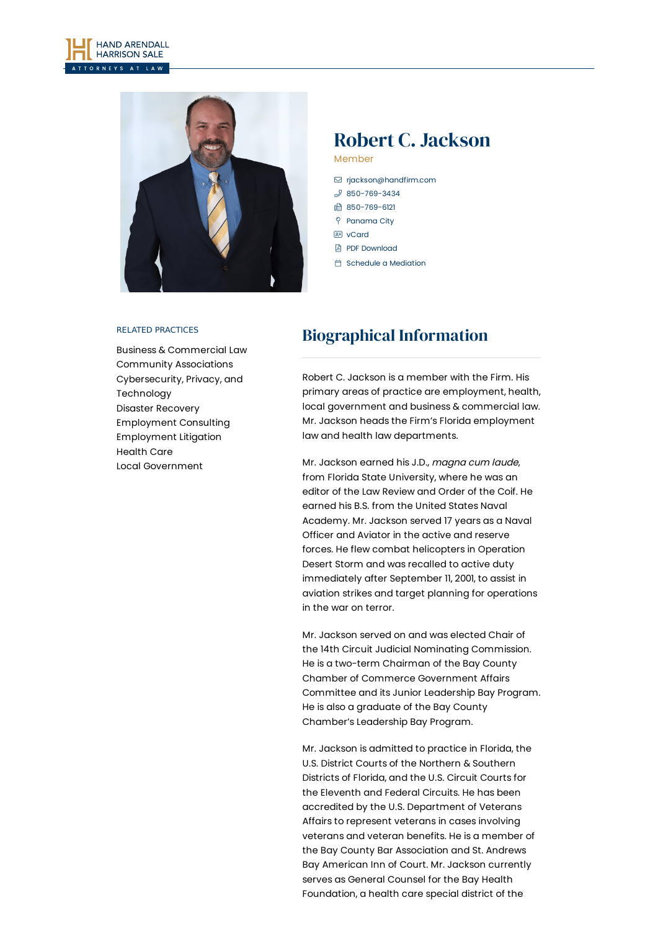



# Robert C. Jackson

Member

- [rjackson@handfirm.com](mailto:rjackson@handfirm.com)  $$850 - 769 - 3434$
- 850-769-6121
- P Panama City
- **BE** [vCard](https://www.handfirm.com/wp-content/themes/paperstreet/vcard/vcard.php?name=robert-c-jackson)
- **A** PDF [Download](http://pdf.paperstreet.com/?url=http://www.handfirm.com/attorneys/robert-c-jackson/?printpdf=true?printpdf=true)
- **i** Schedule a [Mediation](https://calendly.com/rj-mediation/)

#### RELATED PRACTICES

Business & [Commercial](https://www.handfirm.com/practices/business-services/business-commercial-law/) Law Community [Associations](https://www.handfirm.com/practices/industries/community-associations/) [Cybersecurity,](https://www.handfirm.com/practices/industries/cybersecurity/) Privacy, and Technology Disaster [Recovery](https://www.handfirm.com/practices/litigation/disaster-recovery/) [Employment](https://www.handfirm.com/practices/business-services/employment-consulting/) Consulting [Employment](https://www.handfirm.com/practices/litigation/employment-litigation/) Litigation [Health](https://www.handfirm.com/practices/industries/health-care/) Care Local [Government](https://www.handfirm.com/practices/business-services/local-government/)

# Biographical Information

Robert C. Jackson is a member with the Firm. His primary areas of practice are employment, health, local government and business & commercial law. Mr. Jackson heads the Firm's Florida employment law and health law departments.

Mr. Jackson earned his J.D., magna cum laude, from Florida State University, where he was an editor of the Law Review and Order of the Coif. He earned his B.S. from the United States Naval Academy. Mr. Jackson served 17 years as a Naval Officer and Aviator in the active and reserve forces. He flew combat helicopters in Operation Desert Storm and was recalled to active duty immediately after September 11, 2001, to assist in aviation strikes and target planning for operations in the war on terror.

Mr. Jackson served on and was elected Chair of the 14th Circuit Judicial Nominating Commission. He is a two-term Chairman of the Bay County Chamber of Commerce Government Affairs Committee and its Junior Leadership Bay Program. He is also a graduate of the Bay County Chamber's Leadership Bay Program.

Mr. Jackson is admitted to practice in Florida, the U.S. District Courts of the Northern & Southern Districts of Florida, and the U.S. Circuit Courts for the Eleventh and Federal Circuits. He has been accredited by the U.S. Department of Veterans Affairs to represent veterans in cases involving veterans and veteran benefits. He is a member of the Bay County Bar Association and St. Andrews Bay American Inn of Court. Mr. Jackson currently serves as General Counsel for the Bay Health Foundation, a health care special district of the